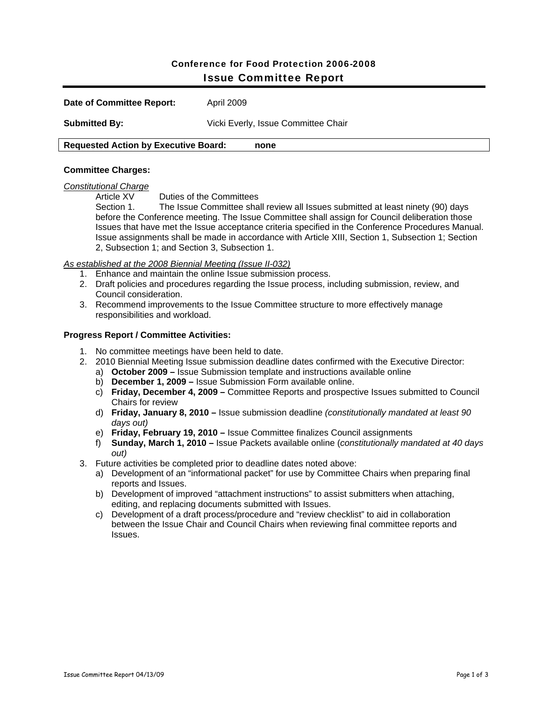# Conference for Food Protection 2006-2008 Issue Committee Report

| Date of Committee Report:                           | April 2009                          |  |
|-----------------------------------------------------|-------------------------------------|--|
| <b>Submitted By:</b>                                | Vicki Everly, Issue Committee Chair |  |
| <b>Requested Action by Executive Board:</b><br>none |                                     |  |

### **Committee Charges:**

#### *Constitutional Charge*

Article XV Duties of the Committees

Section 1. The Issue Committee shall review all Issues submitted at least ninety (90) days before the Conference meeting. The Issue Committee shall assign for Council deliberation those Issues that have met the Issue acceptance criteria specified in the Conference Procedures Manual. Issue assignments shall be made in accordance with Article XIII, Section 1, Subsection 1; Section 2, Subsection 1; and Section 3, Subsection 1.

## *As established at the 2008 Biennial Meeting (Issue II-032)*

- 1. Enhance and maintain the online Issue submission process.
- 2. Draft policies and procedures regarding the Issue process, including submission, review, and Council consideration.
- 3. Recommend improvements to the Issue Committee structure to more effectively manage responsibilities and workload.

#### **Progress Report / Committee Activities:**

- 1. No committee meetings have been held to date.
- 2. 2010 Biennial Meeting Issue submission deadline dates confirmed with the Executive Director:
	- a) **October 2009** Issue Submission template and instructions available online
	- b) **December 1, 2009** Issue Submission Form available online.
	- c) **Friday, December 4, 2009** Committee Reports and prospective Issues submitted to Council Chairs for review
	- d) **Friday, January 8, 2010** Issue submission deadline *(constitutionally mandated at least 90 days out)*
	- e) **Friday, February 19, 2010** Issue Committee finalizes Council assignments
	- f) **Sunday, March 1, 2010** Issue Packets available online (*constitutionally mandated at 40 days out)*
- 3. Future activities be completed prior to deadline dates noted above:
	- a) Development of an "informational packet" for use by Committee Chairs when preparing final reports and Issues.
	- b) Development of improved "attachment instructions" to assist submitters when attaching, editing, and replacing documents submitted with Issues.
	- c) Development of a draft process/procedure and "review checklist" to aid in collaboration between the Issue Chair and Council Chairs when reviewing final committee reports and Issues.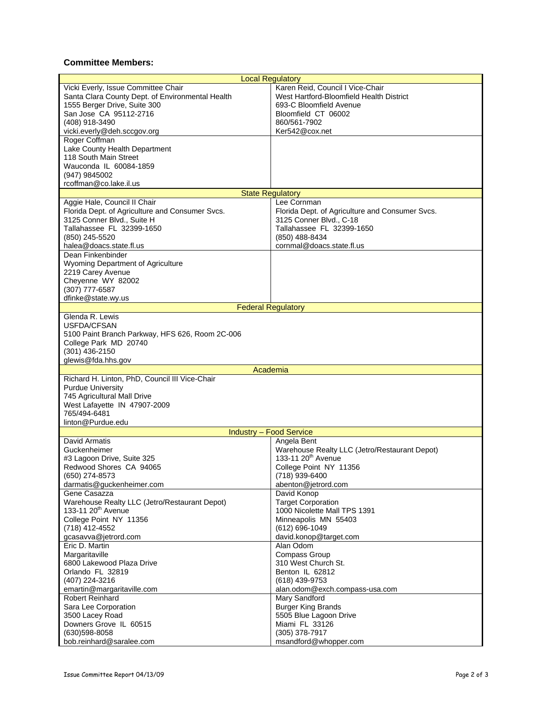## **Committee Members:**

| <b>Local Regulatory</b>                                                                                                                                                                            |                                                                                                                                                                       |  |  |
|----------------------------------------------------------------------------------------------------------------------------------------------------------------------------------------------------|-----------------------------------------------------------------------------------------------------------------------------------------------------------------------|--|--|
| Vicki Everly, Issue Committee Chair<br>Santa Clara County Dept. of Environmental Health<br>1555 Berger Drive, Suite 300<br>San Jose CA 95112-2716<br>(408) 918-3490<br>vicki.everly@deh.sccgov.org | Karen Reid, Council I Vice-Chair<br>West Hartford-Bloomfield Health District<br>693-C Bloomfield Avenue<br>Bloomfield CT 06002<br>860/561-7902<br>Ker542@cox.net      |  |  |
| Roger Coffman<br>Lake County Health Department<br>118 South Main Street<br>Wauconda IL 60084-1859<br>(947) 9845002<br>rcoffman@co.lake.il.us                                                       |                                                                                                                                                                       |  |  |
|                                                                                                                                                                                                    | <b>State Regulatory</b>                                                                                                                                               |  |  |
| Aggie Hale, Council II Chair<br>Florida Dept. of Agriculture and Consumer Svcs.<br>3125 Conner Blvd., Suite H<br>Tallahassee FL 32399-1650<br>(850) 245-5520<br>halea@doacs.state.fl.us            | Lee Cornman<br>Florida Dept. of Agriculture and Consumer Svcs.<br>3125 Conner Blvd., C-18<br>Tallahassee FL 32399-1650<br>(850) 488-8434<br>cornmal@doacs.state.fl.us |  |  |
| Dean Finkenbinder<br><b>Wyoming Department of Agriculture</b><br>2219 Carey Avenue<br>Cheyenne WY 82002<br>(307) 777-6587<br>dfinke@state.wy.us                                                    |                                                                                                                                                                       |  |  |
|                                                                                                                                                                                                    | <b>Federal Regulatory</b>                                                                                                                                             |  |  |
| Glenda R. Lewis<br>USFDA/CFSAN<br>5100 Paint Branch Parkway, HFS 626, Room 2C-006<br>College Park MD 20740<br>(301) 436-2150<br>glewis@fda.hhs.gov                                                 |                                                                                                                                                                       |  |  |
| Academia                                                                                                                                                                                           |                                                                                                                                                                       |  |  |
| Richard H. Linton, PhD, Council III Vice-Chair<br><b>Purdue University</b><br>745 Agricultural Mall Drive<br>West Lafayette IN 47907-2009<br>765/494-6481<br>linton@Purdue.edu                     |                                                                                                                                                                       |  |  |
|                                                                                                                                                                                                    | <b>Industry - Food Service</b>                                                                                                                                        |  |  |
| David Armatis<br>Guckenheimer<br>#3 Lagoon Drive, Suite 325<br>Redwood Shores CA 94065<br>(650) 274-8573<br>darmatis@guckenheimer.com                                                              | Angela Bent<br>Warehouse Realty LLC (Jetro/Restaurant Depot)<br>133-11 20 <sup>th</sup> Avenue<br>College Point NY 11356<br>(718) 939-6400<br>abenton@jetrord.com     |  |  |
| Gene Casazza<br>Warehouse Realty LLC (Jetro/Restaurant Depot)<br>133-11 20 <sup>th</sup> Avenue<br>College Point NY 11356<br>(718) 412-4552<br>gcasavva@jetrord.com                                | David Konop<br><b>Target Corporation</b><br>1000 Nicolette Mall TPS 1391<br>Minneapolis MN 55403<br>(612) 696-1049<br>david.konop@target.com                          |  |  |
| Eric D. Martin<br>Margaritaville<br>6800 Lakewood Plaza Drive<br>Orlando FL 32819<br>(407) 224-3216<br>emartin@margaritaville.com                                                                  | Alan Odom<br>Compass Group<br>310 West Church St.<br>Benton IL 62812<br>(618) 439-9753<br>alan.odom@exch.compass-usa.com                                              |  |  |
| <b>Robert Reinhard</b><br>Sara Lee Corporation<br>3500 Lacey Road<br>Downers Grove IL 60515<br>(630) 598-8058<br>bob.reinhard@saralee.com                                                          | <b>Mary Sandford</b><br><b>Burger King Brands</b><br>5505 Blue Lagoon Drive<br>Miami FL 33126<br>(305) 378-7917<br>msandford@whopper.com                              |  |  |